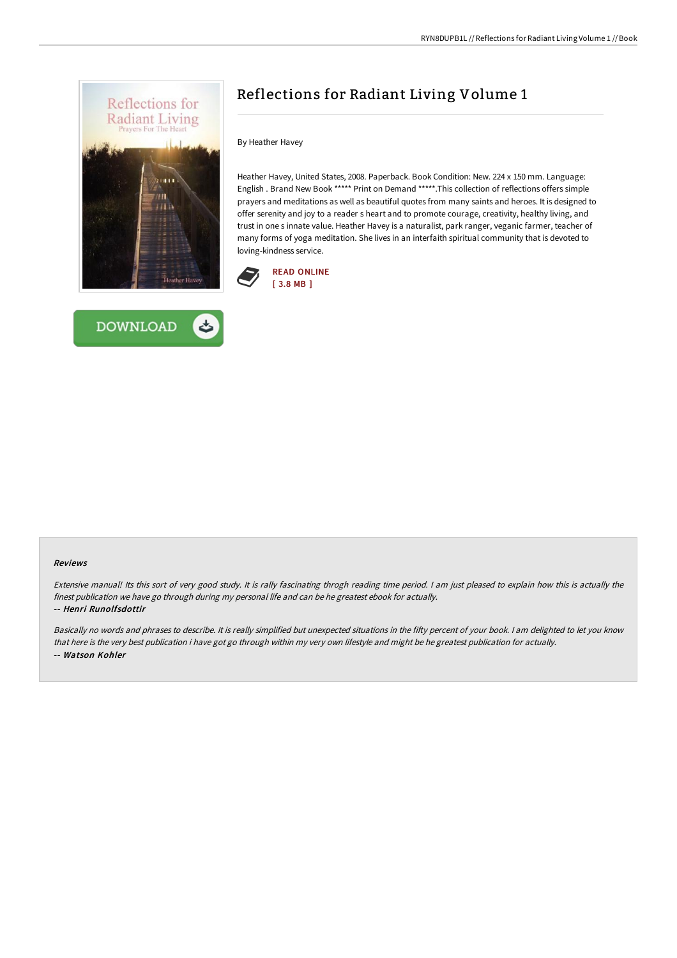



# Reflections for Radiant Living Volume 1

#### By Heather Havey

Heather Havey, United States, 2008. Paperback. Book Condition: New. 224 x 150 mm. Language: English . Brand New Book \*\*\*\*\* Print on Demand \*\*\*\*\*.This collection of reflections offers simple prayers and meditations as well as beautiful quotes from many saints and heroes. It is designed to offer serenity and joy to a reader s heart and to promote courage, creativity, healthy living, and trust in one s innate value. Heather Havey is a naturalist, park ranger, veganic farmer, teacher of many forms of yoga meditation. She lives in an interfaith spiritual community that is devoted to loving-kindness service.



#### Reviews

Extensive manual! Its this sort of very good study. It is rally fascinating throgh reading time period. <sup>I</sup> am just pleased to explain how this is actually the finest publication we have go through during my personal life and can be he greatest ebook for actually.

#### -- Henri Runolfsdottir

Basically no words and phrases to describe. It is really simplified but unexpected situations in the fifty percent of your book. I am delighted to let you know that here is the very best publication i have got go through within my very own lifestyle and might be he greatest publication for actually. -- Watson Kohler